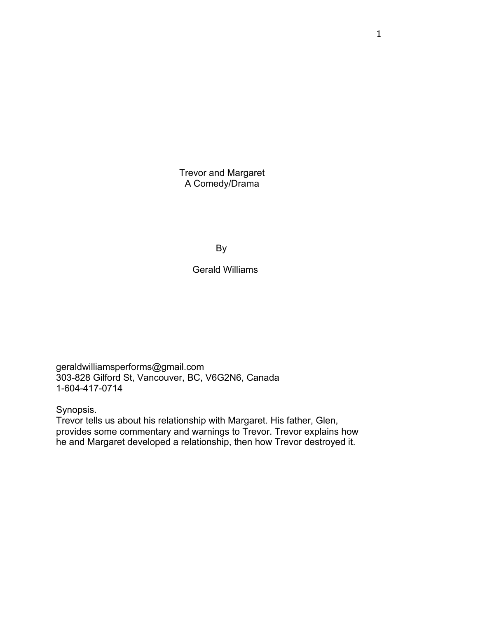Trevor and Margaret A Comedy/Drama

By

# Gerald Williams

geraldwilliamsperforms@gmail.com 303-828 Gilford St, Vancouver, BC, V6G2N6, Canada 1-604-417-0714

Synopsis.

Trevor tells us about his relationship with Margaret. His father, Glen, provides some commentary and warnings to Trevor. Trevor explains how he and Margaret developed a relationship, then how Trevor destroyed it.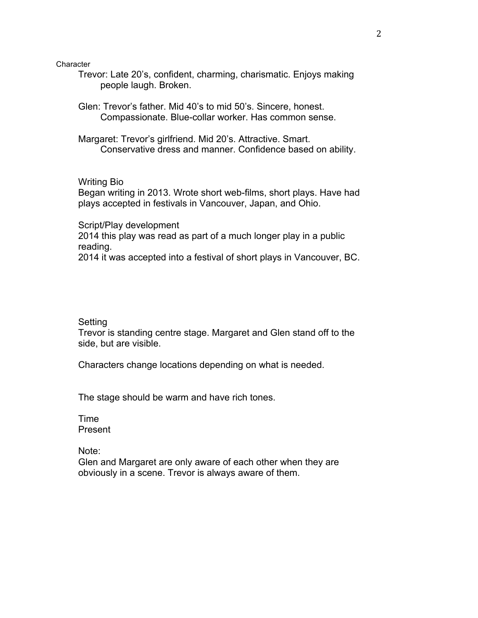**Character** 

Trevor: Late 20's, confident, charming, charismatic. Enjoys making people laugh. Broken.

Glen: Trevor's father. Mid 40's to mid 50's. Sincere, honest. Compassionate. Blue-collar worker. Has common sense.

Margaret: Trevor's girlfriend. Mid 20's. Attractive. Smart. Conservative dress and manner. Confidence based on ability.

Writing Bio

Began writing in 2013. Wrote short web-films, short plays. Have had plays accepted in festivals in Vancouver, Japan, and Ohio.

Script/Play development

2014 this play was read as part of a much longer play in a public reading.

2014 it was accepted into a festival of short plays in Vancouver, BC.

Setting

Trevor is standing centre stage. Margaret and Glen stand off to the side, but are visible.

Characters change locations depending on what is needed.

The stage should be warm and have rich tones.

Time Present

Note:

Glen and Margaret are only aware of each other when they are obviously in a scene. Trevor is always aware of them.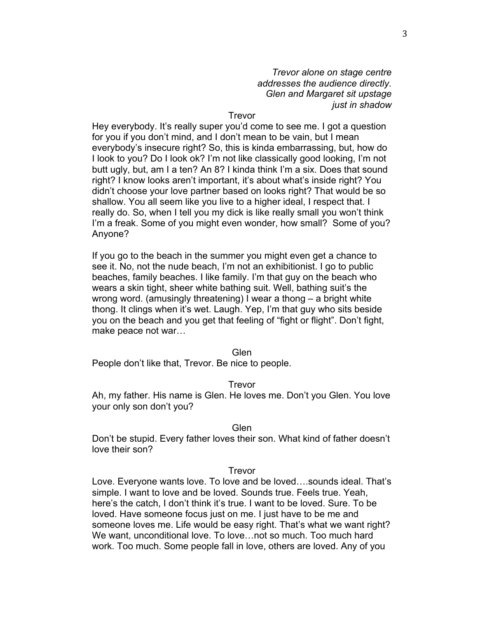*Trevor alone on stage centre addresses the audience directly. Glen and Margaret sit upstage just in shadow*

### Trevor

Hey everybody. It's really super you'd come to see me. I got a question for you if you don't mind, and I don't mean to be vain, but I mean everybody's insecure right? So, this is kinda embarrassing, but, how do I look to you? Do I look ok? I'm not like classically good looking, I'm not butt ugly, but, am I a ten? An 8? I kinda think I'm a six. Does that sound right? I know looks aren't important, it's about what's inside right? You didn't choose your love partner based on looks right? That would be so shallow. You all seem like you live to a higher ideal, I respect that. I really do. So, when I tell you my dick is like really small you won't think I'm a freak. Some of you might even wonder, how small? Some of you? Anyone?

If you go to the beach in the summer you might even get a chance to see it. No, not the nude beach, I'm not an exhibitionist. I go to public beaches, family beaches. I like family. I'm that guy on the beach who wears a skin tight, sheer white bathing suit. Well, bathing suit's the wrong word. (amusingly threatening) I wear a thong – a bright white thong. It clings when it's wet. Laugh. Yep, I'm that guy who sits beside you on the beach and you get that feeling of "fight or flight". Don't fight, make peace not war…

#### Glen

People don't like that, Trevor. Be nice to people.

#### Trevor

Ah, my father. His name is Glen. He loves me. Don't you Glen. You love your only son don't you?

#### Glen

Don't be stupid. Every father loves their son. What kind of father doesn't love their son?

#### Trevor

Love. Everyone wants love. To love and be loved….sounds ideal. That's simple. I want to love and be loved. Sounds true. Feels true. Yeah, here's the catch, I don't think it's true. I want to be loved. Sure. To be loved. Have someone focus just on me. I just have to be me and someone loves me. Life would be easy right. That's what we want right? We want, unconditional love. To love…not so much. Too much hard work. Too much. Some people fall in love, others are loved. Any of you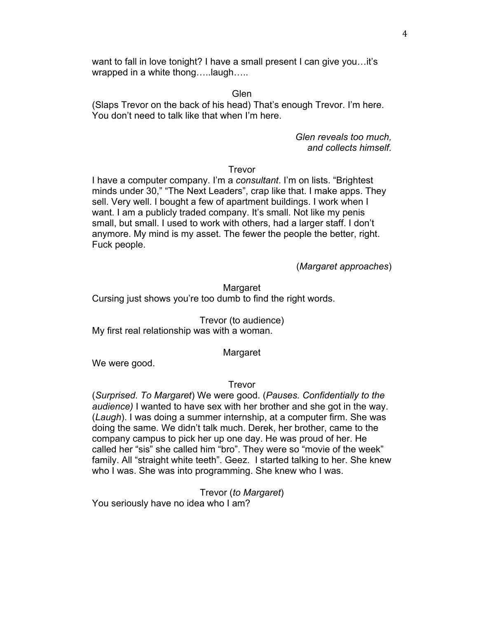want to fall in love tonight? I have a small present I can give you…it's wrapped in a white thong…..laugh…..

### Glen

(Slaps Trevor on the back of his head) That's enough Trevor. I'm here. You don't need to talk like that when I'm here.

> *Glen reveals too much, and collects himself.*

### Trevor

I have a computer company. I'm a *consultant*. I'm on lists. "Brightest minds under 30," "The Next Leaders", crap like that. I make apps. They sell. Very well. I bought a few of apartment buildings. I work when I want. I am a publicly traded company. It's small. Not like my penis small, but small. I used to work with others, had a larger staff. I don't anymore. My mind is my asset. The fewer the people the better, right. Fuck people.

(*Margaret approaches*)

**Margaret** Cursing just shows you're too dumb to find the right words.

Trevor (to audience) My first real relationship was with a woman.

### Margaret

We were good.

### Trevor

(*Surprised. To Margaret*) We were good. (*Pauses. Confidentially to the audience)* I wanted to have sex with her brother and she got in the way. (*Laugh*). I was doing a summer internship, at a computer firm. She was doing the same. We didn't talk much. Derek, her brother, came to the company campus to pick her up one day. He was proud of her. He called her "sis" she called him "bro". They were so "movie of the week" family. All "straight white teeth". Geez. I started talking to her. She knew who I was. She was into programming. She knew who I was.

Trevor (*to Margaret*) You seriously have no idea who I am?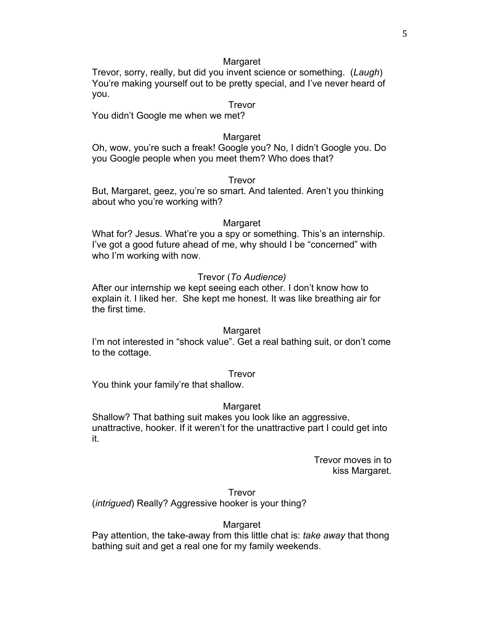Trevor, sorry, really, but did you invent science or something. (*Laugh*) You're making yourself out to be pretty special, and I've never heard of you.

### Trevor

You didn't Google me when we met?

### Margaret

Oh, wow, you're such a freak! Google you? No, I didn't Google you. Do you Google people when you meet them? Who does that?

### Trevor

But, Margaret, geez, you're so smart. And talented. Aren't you thinking about who you're working with?

#### Margaret

What for? Jesus. What're you a spy or something. This's an internship. I've got a good future ahead of me, why should I be "concerned" with who I'm working with now.

#### Trevor (*To Audience)*

After our internship we kept seeing each other. I don't know how to explain it. I liked her. She kept me honest. It was like breathing air for the first time.

#### Margaret

I'm not interested in "shock value". Get a real bathing suit, or don't come to the cottage.

#### Trevor

You think your family're that shallow.

#### Margaret

Shallow? That bathing suit makes you look like an aggressive, unattractive, hooker. If it weren't for the unattractive part I could get into it.

> Trevor moves in to kiss Margaret.

Trevor (*intrigued*) Really? Aggressive hooker is your thing?

#### Margaret

Pay attention, the take-away from this little chat is: *take away* that thong bathing suit and get a real one for my family weekends.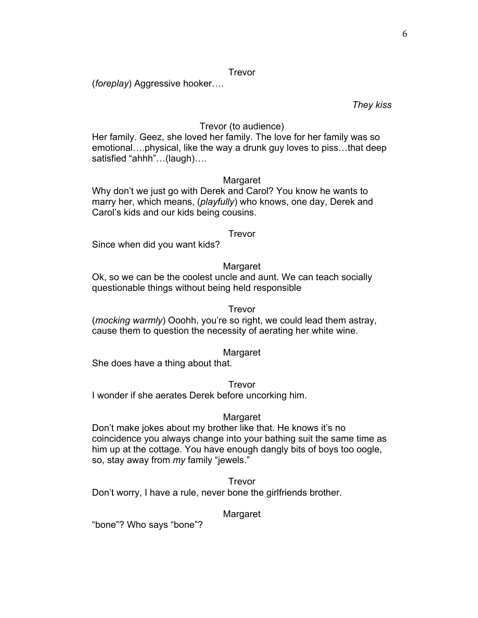### Trevor

(*foreplay*) Aggressive hooker….

### *They kiss*

## Trevor (to audience)

Her family. Geez, she loved her family. The love for her family was so emotional….physical, like the way a drunk guy loves to piss…that deep satisfied "ahhh"…(laugh)….

## Margaret

Why don't we just go with Derek and Carol? You know he wants to marry her, which means, (*playfully*) who knows, one day, Derek and Carol's kids and our kids being cousins.

### Trevor

Since when did you want kids?

## Margaret

Ok, so we can be the coolest uncle and aunt. We can teach socially questionable things without being held responsible

### Trevor

(*mocking warmly*) Ooohh, you're so right, we could lead them astray, cause them to question the necessity of aerating her white wine.

## Margaret

She does have a thing about that.

Trevor

I wonder if she aerates Derek before uncorking him.

## Margaret

Don't make jokes about my brother like that. He knows it's no coincidence you always change into your bathing suit the same time as him up at the cottage. You have enough dangly bits of boys too oogle, so, stay away from *my* family "jewels."

**Trevor** Don't worry, I have a rule, never bone the girlfriends brother.

## Margaret

"bone"? Who says "bone"?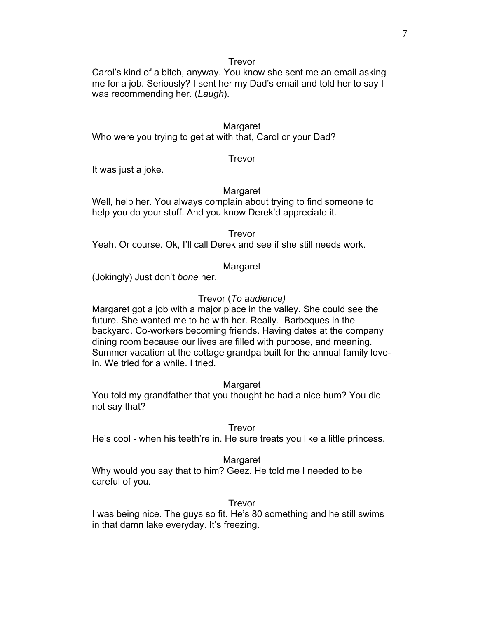Trevor

Carol's kind of a bitch, anyway. You know she sent me an email asking me for a job. Seriously? I sent her my Dad's email and told her to say I was recommending her. (*Laugh*).

## **Margaret**

Who were you trying to get at with that, Carol or your Dad?

## Trevor

It was just a joke.

## Margaret

Well, help her. You always complain about trying to find someone to help you do your stuff. And you know Derek'd appreciate it.

Trevor

Yeah. Or course. Ok, I'll call Derek and see if she still needs work.

## Margaret

(Jokingly) Just don't *bone* her.

# Trevor (*To audience)*

Margaret got a job with a major place in the valley. She could see the future. She wanted me to be with her. Really. Barbeques in the backyard. Co-workers becoming friends. Having dates at the company dining room because our lives are filled with purpose, and meaning. Summer vacation at the cottage grandpa built for the annual family lovein. We tried for a while. I tried.

## Margaret

You told my grandfather that you thought he had a nice bum? You did not say that?

## Trevor

He's cool - when his teeth're in. He sure treats you like a little princess.

## Margaret

Why would you say that to him? Geez. He told me I needed to be careful of you.

## Trevor

I was being nice. The guys so fit. He's 80 something and he still swims in that damn lake everyday. It's freezing.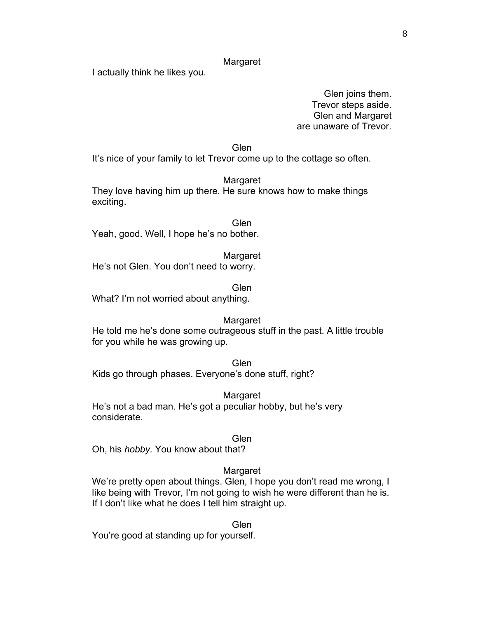I actually think he likes you.

Glen joins them. Trevor steps aside. Glen and Margaret are unaware of Trevor.

Glen

It's nice of your family to let Trevor come up to the cottage so often.

Margaret

They love having him up there. He sure knows how to make things exciting.

**Glen** Yeah, good. Well, I hope he's no bother.

Margaret

He's not Glen. You don't need to worry.

Glen

What? I'm not worried about anything.

#### Margaret

He told me he's done some outrageous stuff in the past. A little trouble for you while he was growing up.

Glen Kids go through phases. Everyone's done stuff, right?

**Margaret** 

He's not a bad man. He's got a peculiar hobby, but he's very considerate.

#### Glen

Oh, his *hobby*. You know about that?

### Margaret

We're pretty open about things. Glen, I hope you don't read me wrong, I like being with Trevor, I'm not going to wish he were different than he is. If I don't like what he does I tell him straight up.

Glen You're good at standing up for yourself.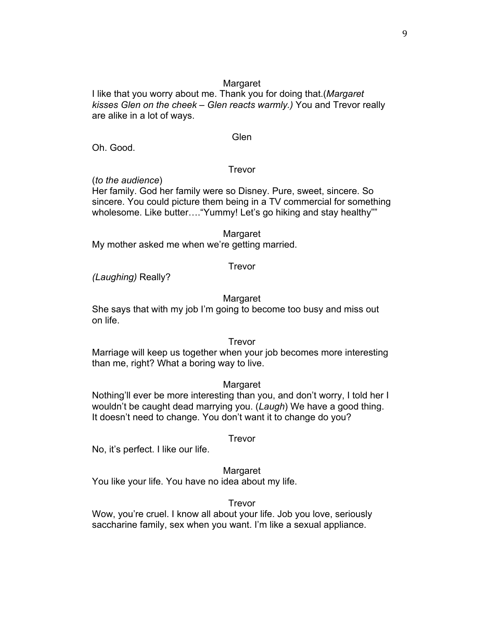9

## Margaret

I like that you worry about me. Thank you for doing that.(*Margaret kisses Glen on the cheek – Glen reacts warmly.)* You and Trevor really are alike in a lot of ways.

## **Glen**

Oh. Good.

## Trevor

(*to the audience*)

Her family. God her family were so Disney. Pure, sweet, sincere. So sincere. You could picture them being in a TV commercial for something wholesome. Like butter.... "Yummy! Let's go hiking and stay healthy""

## **Margaret**

My mother asked me when we're getting married.

## Trevor

*(Laughing)* Really?

## Margaret

She says that with my job I'm going to become too busy and miss out on life.

## Trevor

Marriage will keep us together when your job becomes more interesting than me, right? What a boring way to live.

## Margaret

Nothing'll ever be more interesting than you, and don't worry, I told her I wouldn't be caught dead marrying you. (*Laugh*) We have a good thing. It doesn't need to change. You don't want it to change do you?

## Trevor

No, it's perfect. I like our life.

## Margaret

You like your life. You have no idea about my life.

## Trevor

Wow, you're cruel. I know all about your life. Job you love, seriously saccharine family, sex when you want. I'm like a sexual appliance.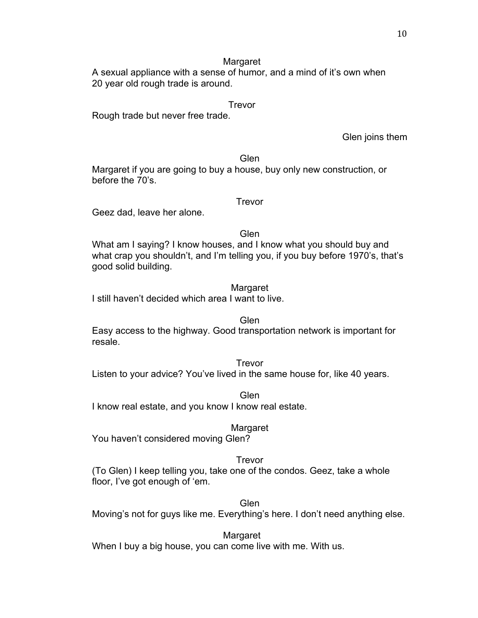A sexual appliance with a sense of humor, and a mind of it's own when 20 year old rough trade is around.

## Trevor

Rough trade but never free trade.

Glen joins them

### Glen

Margaret if you are going to buy a house, buy only new construction, or before the 70's.

## Trevor

Geez dad, leave her alone.

## Glen

What am I saying? I know houses, and I know what you should buy and what crap you shouldn't, and I'm telling you, if you buy before 1970's, that's good solid building.

## **Margaret**

I still haven't decided which area I want to live.

## Glen

Easy access to the highway. Good transportation network is important for resale.

### Trevor

Listen to your advice? You've lived in the same house for, like 40 years.

Glen I know real estate, and you know I know real estate.

## Margaret

You haven't considered moving Glen?

## Trevor

(To Glen) I keep telling you, take one of the condos. Geez, take a whole floor, I've got enough of 'em.

## Glen

Moving's not for guys like me. Everything's here. I don't need anything else.

## Margaret

When I buy a big house, you can come live with me. With us.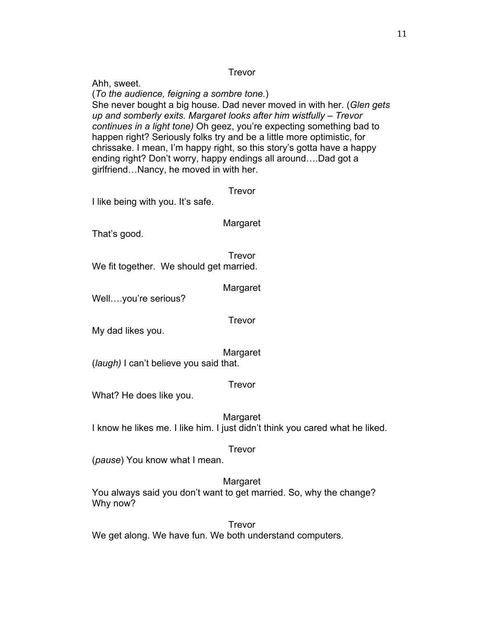## Trevor

Ahh, sweet. (*To the audience, feigning a sombre tone.*) She never bought a big house. Dad never moved in with her. (*Glen gets up and somberly exits. Margaret looks after him wistfully – Trevor continues in a light tone)* Oh geez, you're expecting something bad to happen right? Seriously folks try and be a little more optimistic, for chrissake. I mean, I'm happy right, so this story's gotta have a happy ending right? Don't worry, happy endings all around….Dad got a girlfriend…Nancy, he moved in with her. Trevor I like being with you. It's safe. Margaret That's good. Trevor We fit together. We should get married. **Margaret** Well….you're serious? Trevor My dad likes you. Margaret (*laugh)* I can't believe you said that. Trevor What? He does like you. Margaret I know he likes me. I like him. I just didn't think you cared what he liked. Trevor (*pause*) You know what I mean. **Margaret** You always said you don't want to get married. So, why the change? Why now? Trevor

We get along. We have fun. We both understand computers.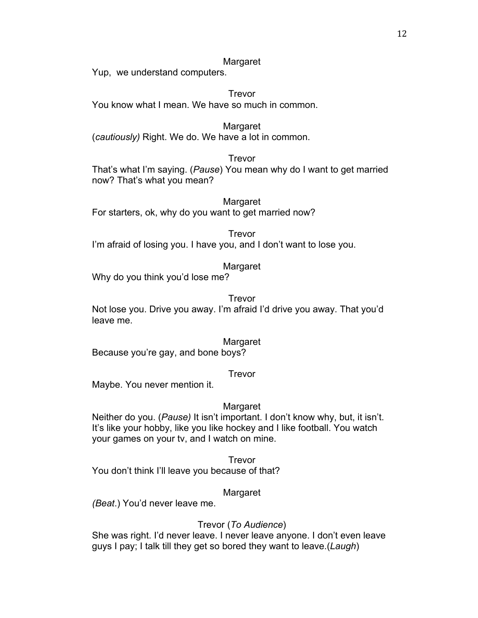Yup, we understand computers.

Trevor You know what I mean. We have so much in common.

**Margaret** (*cautiously)* Right. We do. We have a lot in common.

## Trevor

That's what I'm saying. (*Pause*) You mean why do I want to get married now? That's what you mean?

Margaret For starters, ok, why do you want to get married now?

Trevor

I'm afraid of losing you. I have you, and I don't want to lose you.

## Margaret

Why do you think you'd lose me?

### Trevor

Not lose you. Drive you away. I'm afraid I'd drive you away. That you'd leave me.

### **Margaret**

Because you're gay, and bone boys?

## Trevor

Maybe. You never mention it.

## Margaret

Neither do you. (*Pause)* It isn't important. I don't know why, but, it isn't. It's like your hobby, like you like hockey and I like football. You watch your games on your tv, and I watch on mine.

Trevor You don't think I'll leave you because of that?

## Margaret

*(Beat*.) You'd never leave me.

## Trevor (*To Audience*)

She was right. I'd never leave. I never leave anyone. I don't even leave guys I pay; I talk till they get so bored they want to leave.(*Laugh*)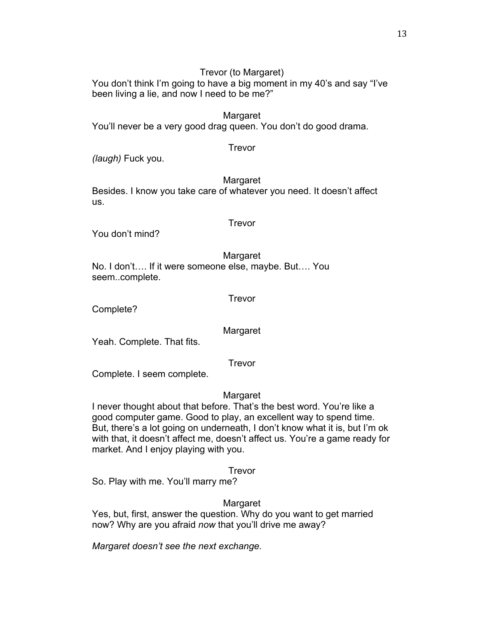# Trevor (to Margaret)

You don't think I'm going to have a big moment in my 40's and say "I've been living a lie, and now I need to be me?"

Margaret You'll never be a very good drag queen. You don't do good drama.

*(laugh)* Fuck you.

Margaret

Trevor

Besides. I know you take care of whatever you need. It doesn't affect us.

## Trevor

You don't mind?

Margaret No. I don't…. If it were someone else, maybe. But…. You seem..complete.

Trevor

Complete?

Margaret

Yeah. Complete. That fits.

Trevor

Complete. I seem complete.

# **Margaret**

I never thought about that before. That's the best word. You're like a good computer game. Good to play, an excellent way to spend time. But, there's a lot going on underneath, I don't know what it is, but I'm ok with that, it doesn't affect me, doesn't affect us. You're a game ready for market. And I enjoy playing with you.

Trevor

So. Play with me. You'll marry me?

# **Margaret**

Yes, but, first, answer the question. Why do you want to get married now? Why are you afraid *now* that you'll drive me away?

*Margaret doesn't see the next exchange.*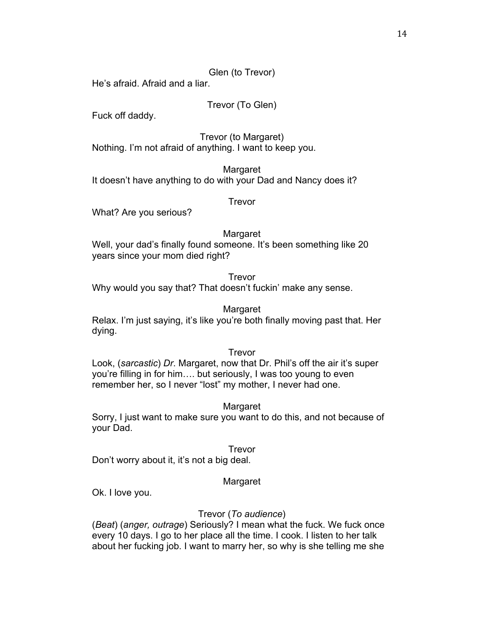## Glen (to Trevor)

He's afraid. Afraid and a liar.

## Trevor (To Glen)

Fuck off daddy.

Trevor (to Margaret) Nothing. I'm not afraid of anything. I want to keep you.

Margaret It doesn't have anything to do with your Dad and Nancy does it?

Trevor

What? Are you serious?

### **Margaret**

Well, your dad's finally found someone. It's been something like 20 years since your mom died right?

### **Trevor**

Why would you say that? That doesn't fuckin' make any sense.

### Margaret

Relax. I'm just saying, it's like you're both finally moving past that. Her dying.

### Trevor

Look, (*sarcastic*) *Dr*. Margaret, now that Dr. Phil's off the air it's super you're filling in for him…. but seriously, I was too young to even remember her, so I never "lost" my mother, I never had one.

## Margaret

Sorry, I just want to make sure you want to do this, and not because of your Dad.

### Trevor

Don't worry about it, it's not a big deal.

## Margaret

Ok. I love you.

## Trevor (*To audience*)

(*Beat*) (*anger, outrage*) Seriously? I mean what the fuck. We fuck once every 10 days. I go to her place all the time. I cook. I listen to her talk about her fucking job. I want to marry her, so why is she telling me she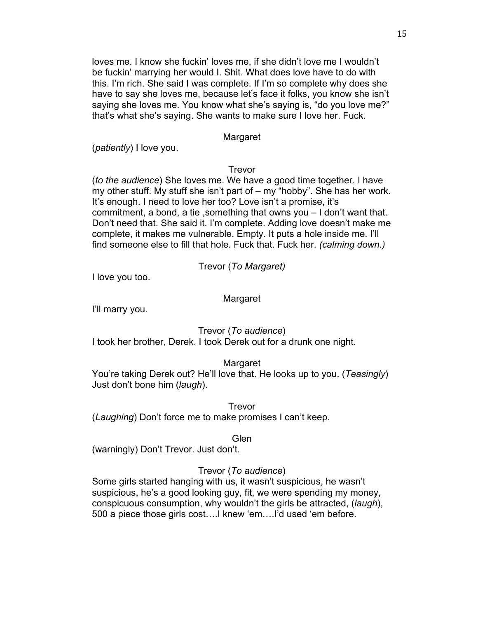loves me. I know she fuckin' loves me, if she didn't love me I wouldn't be fuckin' marrying her would I. Shit. What does love have to do with this. I'm rich. She said I was complete. If I'm so complete why does she have to say she loves me, because let's face it folks, you know she isn't saying she loves me. You know what she's saying is, "do you love me?" that's what she's saying. She wants to make sure I love her. Fuck.

## Margaret

(*patiently*) I love you.

## Trevor

(*to the audience*) She loves me. We have a good time together. I have my other stuff. My stuff she isn't part of – my "hobby". She has her work. It's enough. I need to love her too? Love isn't a promise, it's commitment, a bond, a tie ,something that owns you – I don't want that. Don't need that. She said it. I'm complete. Adding love doesn't make me complete, it makes me vulnerable. Empty. It puts a hole inside me. I'll find someone else to fill that hole. Fuck that. Fuck her. *(calming down.)*

Trevor (*To Margaret)*

I love you too.

## Margaret

I'll marry you.

Trevor (*To audience*)

I took her brother, Derek. I took Derek out for a drunk one night.

# Margaret

You're taking Derek out? He'll love that. He looks up to you. (*Teasingly*) Just don't bone him (*laugh*).

Trevor (*Laughing*) Don't force me to make promises I can't keep.

## Glen

(warningly) Don't Trevor. Just don't.

# Trevor (*To audience*)

Some girls started hanging with us, it wasn't suspicious, he wasn't suspicious, he's a good looking guy, fit, we were spending my money, conspicuous consumption, why wouldn't the girls be attracted, (*laugh*), 500 a piece those girls cost….I knew 'em….I'd used 'em before.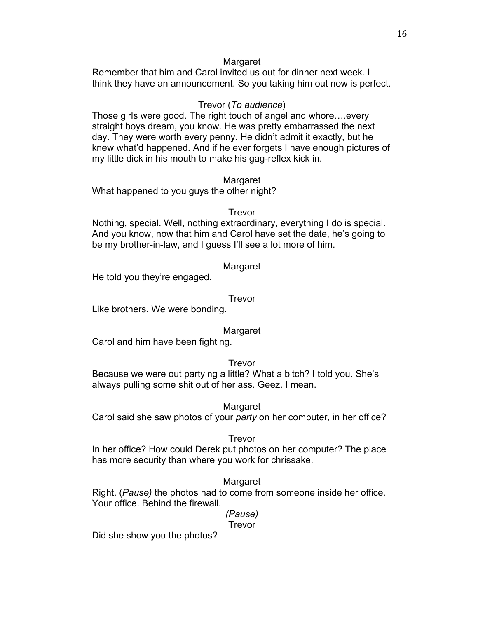Remember that him and Carol invited us out for dinner next week. I think they have an announcement. So you taking him out now is perfect.

## Trevor (*To audience*)

Those girls were good. The right touch of angel and whore….every straight boys dream, you know. He was pretty embarrassed the next day. They were worth every penny. He didn't admit it exactly, but he knew what'd happened. And if he ever forgets I have enough pictures of my little dick in his mouth to make his gag-reflex kick in.

### Margaret

What happened to you guys the other night?

### Trevor

Nothing, special. Well, nothing extraordinary, everything I do is special. And you know, now that him and Carol have set the date, he's going to be my brother-in-law, and I guess I'll see a lot more of him.

### Margaret

He told you they're engaged.

### Trevor

Like brothers. We were bonding.

### Margaret

Carol and him have been fighting.

### Trevor

Because we were out partying a little? What a bitch? I told you. She's always pulling some shit out of her ass. Geez. I mean.

### Margaret

Carol said she saw photos of your *party* on her computer, in her office?

### **Trevor**

In her office? How could Derek put photos on her computer? The place has more security than where you work for chrissake.

## Margaret

Right. (*Pause)* the photos had to come from someone inside her office. Your office. Behind the firewall.

#### *(Pause)* **Trevor**

Did she show you the photos?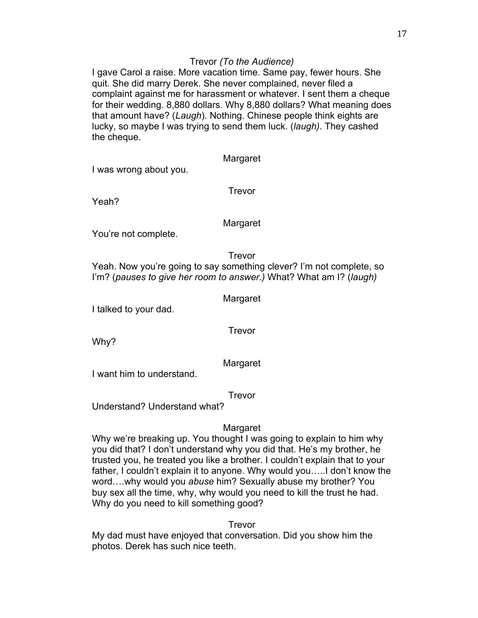## Trevor *(To the Audience)*

I gave Carol a raise. More vacation time. Same pay, fewer hours. She quit. She did marry Derek. She never complained, never filed a complaint against me for harassment or whatever. I sent them a cheque for their wedding. 8,880 dollars. Why 8,880 dollars? What meaning does that amount have? (*Laugh*). Nothing. Chinese people think eights are lucky, so maybe I was trying to send them luck. (*laugh)*. They cashed the cheque.

Margaret

I was wrong about you.

Trevor

Yeah?

Margaret

You're not complete.

Trevor

Yeah. Now you're going to say something clever? I'm not complete, so I'm? (*pauses to give her room to answer.)* What? What am I? (*laugh)*

Margaret

I talked to your dad.

Trevor

Why?

Margaret

I want him to understand.

Trevor

Understand? Understand what?

## Margaret

Why we're breaking up. You thought I was going to explain to him why you did that? I don't understand why you did that. He's my brother, he trusted you, he treated you like a brother. I couldn't explain that to your father, I couldn't explain it to anyone. Why would you…..I don't know the word….why would you *abuse* him? Sexually abuse my brother? You buy sex all the time, why, why would you need to kill the trust he had. Why do you need to kill something good?

**Trevor** 

My dad must have enjoyed that conversation. Did you show him the photos. Derek has such nice teeth.